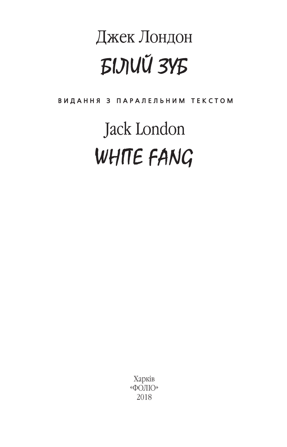## Джек Лондон *EIJIU 3YE*

ВИДАННЯ З ПАРАЛЕЛЬНИМ ТЕКСТОМ

# Jack London WHITE FANG

Харків «ФОЛЮ» 2018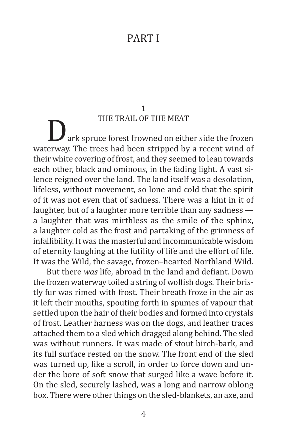### PART I

### **1**

THE TRAIL OF THE MEAT<br>ark spruce forest frowned on either side the frozen waterway. The trees had been stripped by a recent wind of their white covering of frost, and they seemed to lean towards each other, black and ominous, in the fading light. A vast silence reigned over the land. The land itself was a desolation, lifeless, without movement, so lone and cold that the spirit of it was not even that of sadness. There was a hint in it of laughter, but of a laughter more terrible than any sadness a laughter that was mirthless as the smile of the sphinx, a laughter cold as the frost and partaking of the grimness of infallibility. It was the masterful and incommunicable wisdom of eternity laughing at the futility of life and the effort of life. It was the Wild, the savage, frozen–hearted Northland Wild.

But there *was* life, abroad in the land and defiant. Down the frozen waterway toiled a string of wolfish dogs. Their bristly fur was rimed with frost. Their breath froze in the air as it left their mouths, spouting forth in spumes of vapour that settled upon the hair of their bodies and formed into crystals of frost. Leather harness was on the dogs, and leather traces attached them to a sled which dragged along behind. The sled was without runners. It was made of stout birch-bark, and its full surface rested on the snow. The front end of the sled was turned up, like a scroll, in order to force down and under the bore of soft snow that surged like a wave before it. On the sled, securely lashed, was a long and narrow oblong box. There were other things on the sled-blankets, an axe, and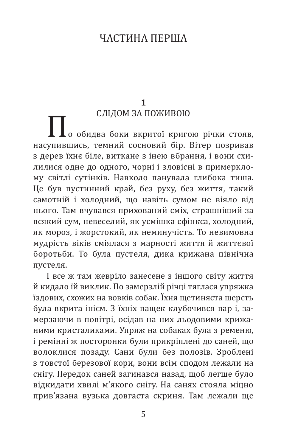## ЧАСТИНA ПЕРША

## **1**<br>СЛІДОМ ЗА ПОЖИВОЮ

 $\blacksquare$ о обидва боки вкритої кригою річки стояв, насупившись, темний сосновий бір. Вітер позривав з дерев їхнє біле, виткане з інею вбрання, і вони схилилися одне до одного, чорні і зловісні в примерклому світлі сутінків. Навколо панувала глибока тиша. Це був пустинний край, без руху, без життя, такий самотній і холодний, що навіть сумом не віяло від нього. Там вчувався прихований сміх, страшніший за всякий сум, невеселий, як усмішка сфінкса, холодний, як мороз, і жорстокий, як неминучість. То невимовна мудрість віків сміялася з марності життя й життєвої боротьби. То була пустеля, дика крижана північна пустеля.

І все ж там жевріло занесене з іншого світу життя й кидало їй виклик. По замерзлій річці тяглася упряжка їздових, схожих на вовків собак. Їхня щетиняста шерсть була вкрита інієм. З їхніх пащек клубочився пар і, замерзаючи в повітрі, осідав на них льодовими крижаними кристаликами. Упряж на собаках була з ременю, і ремінні ж посторонки були прикріплені до саней, що волоклися позаду. Сани були без полозів. Зроблені з товстої березової кори, вони всім сподом лежали на снігу. Передок саней загинався назад, щоб легше було відкидати хвилі м'якого снігу. На санях стояла міцно прив'язана вузька довгаста скриня. Там лежали ще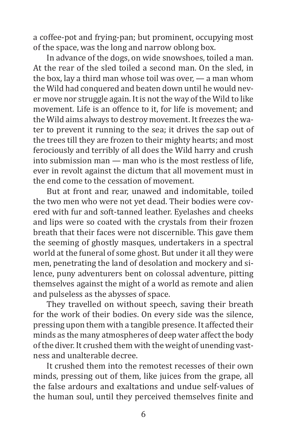a coffee-pot and frying-pan; but prominent, occupying most of the space, was the long and narrow oblong box.

In advance of the dogs, on wide snowshoes, toiled a man. At the rear of the sled toiled a second man. On the sled, in the box, lay a third man whose toil was over, — a man whom the Wild had conquered and beaten down until he would never move nor struggle again. It is not the way of the Wild to like movement. Life is an offence to it, for life is movement; and the Wild aims always to destroy movement. It freezes the water to prevent it running to the sea; it drives the sap out of the trees till they are frozen to their mighty hearts; and most ferociously and terribly of all does the Wild harry and crush into submission man — man who is the most restless of life, ever in revolt against the dictum that all movement must in the end come to the cessation of movement.

But at front and rear, unawed and indomitable, toiled the two men who were not yet dead. Their bodies were covered with fur and soft-tanned leather. Eyelashes and cheeks and lips were so coated with the crystals from their frozen breath that their faces were not discernible. This gave them the seeming of ghostly masques, undertakers in a spectral world at the funeral of some ghost. But under it all they were men, penetrating the land of desolation and mockery and silence, puny adventurers bent on colossal adventure, pitting themselves against the might of a world as remote and alien and pulseless as the abysses of space.

They travelled on without speech, saving their breath for the work of their bodies. On every side was the silence, pressing upon them with a tangible presence. It affected their minds as the many atmospheres of deep water affect the body of the diver. It crushed them with the weight of unending vastness and unalterable decree.

It crushed them into the remotest recesses of their own minds, pressing out of them, like juices from the grape, all the false ardours and exaltations and undue self-values of the human soul, until they perceived themselves finite and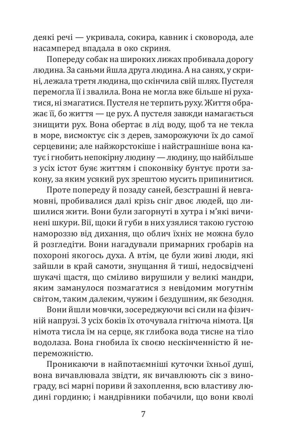деякі речі — укривала, сокира, кавник і сковорода, але насамперед впадала в око скриня.

Попереду собак на широких лижах пробивала дорогу людина. За саньми йшла друга людина. А на санях, у скрині, лежала третя людина, що скінчила свій шлях. Пустеля перемогла її і звалила. Вона не могла вже більше ні рухатися, ні змагатися. Пустеля не терпить руху. Життя ображає її, бо життя — це рух. А пустеля завжди намагається знищити рух. Вона обертає в лід воду, щоб та не текла в море, висмоктує сік з дерев, заморожуючи їх до самої серцевини; але найжорстокіше і найстрашніше вона катує і гнобить непокірну людину — людину, що найбільше з усіх істот буяє життям і споконвіку бунтує проти закону, за яким усякий рух зрештою мусить припинитися.

Проте попереду й позаду саней, безстрашні й невгамовні, пробивалися далі крізь сніг двоє людей, що лишилися жити. Вони були загорнуті в хутра і м'які вичинені шкури. Вії, щоки й губи в них узялися такою густою намороззю від дихання, що облич їхніх не можна було й розгледіти. Вони нагадували примарних гробарів на похороні якогось духа. А втім, це були живі люди, які зайшли в край самоти, знущання й тиші, недосвідчені шукачі щастя, що сміливо вирушили у великі мандри, яким заманулося позмагатися з невідомим могутнім світом, таким далеким, чужим і бездушним, як безодня.

Вони йшли мовчки, зосереджуючи всі сили на фізичній напрузі. З усіх боків їх оточувала гнітюча німота. Ця німота тисла їм на серце, як глибока вода тисне на тіло водолаза. Вона гнобила їх своєю нескінченністю й непереможністю.

Проникаючи в найпотаємніші куточки їхньої душі, вона вичавлювала звідти, як вичавлюють сік з винограду, всі марні пориви й захоплення, всю властиву людині гординю; і мандрівники побачили, що вони кволі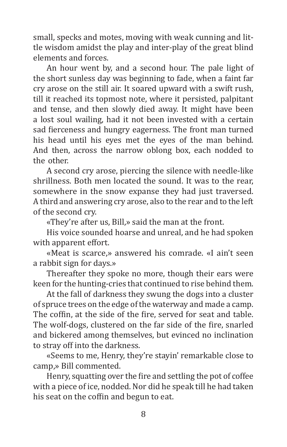small, specks and motes, moving with weak cunning and little wisdom amidst the play and inter-play of the great blind elements and forces.

An hour went by, and a second hour. The pale light of the short sunless day was beginning to fade, when a faint far cry arose on the still air. It soared upward with a swift rush, till it reached its topmost note, where it persisted, palpitant and tense, and then slowly died away. It might have been a lost soul wailing, had it not been invested with a certain sad fierceness and hungry eagerness. The front man turned his head until his eyes met the eyes of the man behind. And then, across the narrow oblong box, each nodded to the other.

A second cry arose, piercing the silence with needle-like shrillness. Both men located the sound. It was to the rear, somewhere in the snow expanse they had just traversed. A third and answering cry arose, also to the rear and to the left of the second cry.

«They're after us, Bill,» said the man at the front.

His voice sounded hoarse and unreal, and he had spoken with apparent effort.

«Meat is scarce,» answered his comrade. «I ain't seen a rabbit sign for days.»

Thereafter they spoke no more, though their ears were keen for the hunting-cries that continued to rise behind them.

At the fall of darkness they swung the dogs into a cluster of spruce trees on the edge of the waterway and made a camp. The coffin, at the side of the fire, served for seat and table. The wolf-dogs, clustered on the far side of the fire, snarled and bickered among themselves, but evinced no inclination to stray off into the darkness.

«Seems to me, Henry, they're stayin' remarkable close to camp,» Bill commented.

Henry, squatting over the fire and settling the pot of coffee with a piece of ice, nodded. Nor did he speak till he had taken his seat on the coffin and begun to eat.